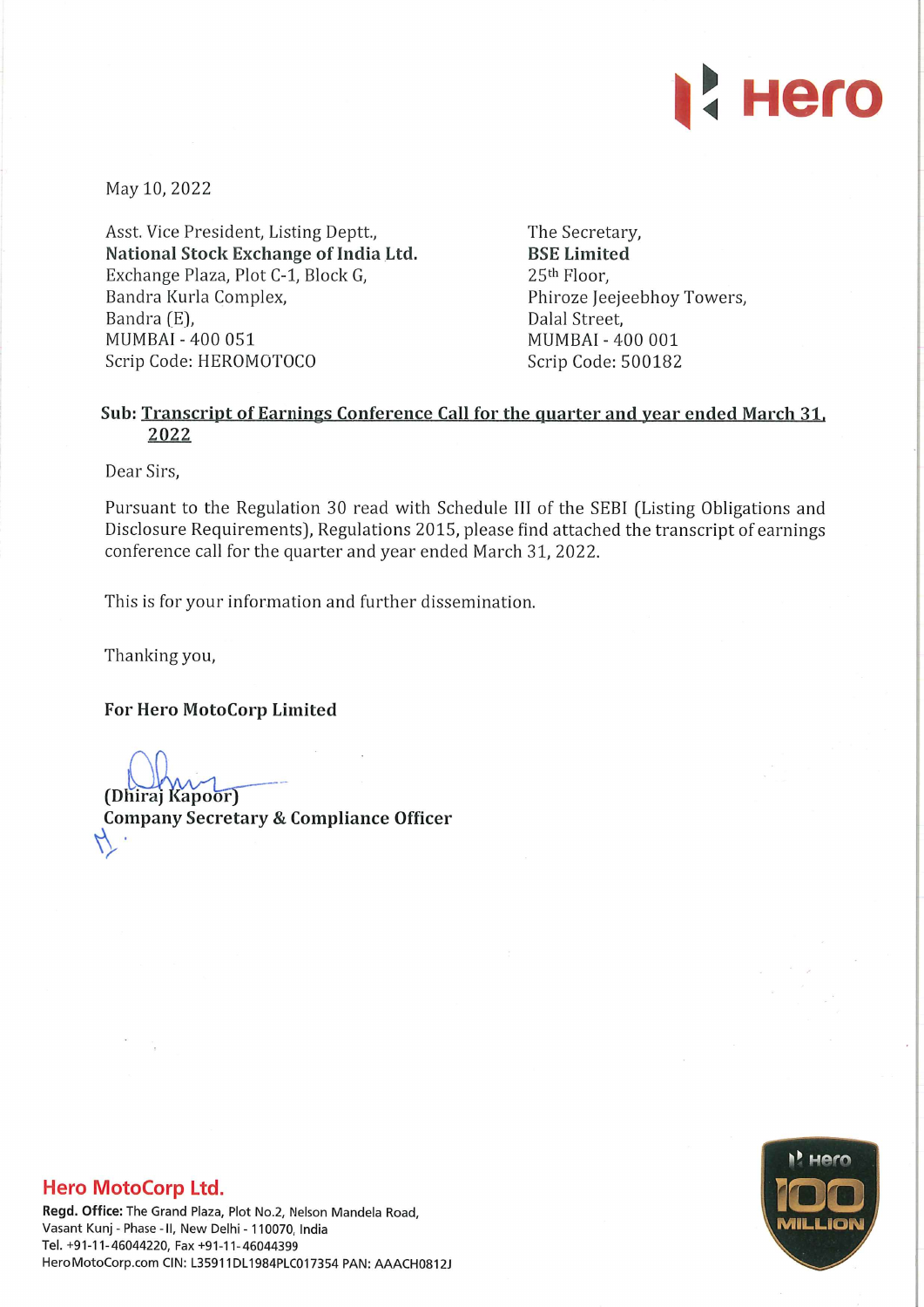

May 10, 2022

Asst. Vice President, Listing Deptt., National Stock Exchange of India Ltd. Exchange Plaza, Plot C-1, Block G, Bandra Kurla Complex, Bandra (E), MUMBAI - 400 051 Scrip Code: HEROMOTOCO

The Secretary, BSE Limited 25th Floor, Phiroze Jeejeebhoy Towers, Dalal Street, MUMBAI - 400 001 Scrip Code: 500182

## Sub: Transcript of Earnings Conference Call for the quarter and year ended March 31, 2022

Dear Sirs,

Pursuant to the Regulation 30 read with Schedule III of the SEBI (Listing Obligations and Disclosure Requirements), Regulations 2015, please find attached the transcript of earnings conference call for the quarter and year ended March 31, 2022.

This is for your information and further dissemination.

Thanking you,

For Hero MotoCorp Limited

(Dhiraj Kapoor) Company Secretary & Compliance Officer

## Hero MotoCorp Ltd.

Regd. Office: The Grand Plaza, Plot No.2, Nelson Mandela Road, Vasant Kunj - Phase - II, New Delhi - 110070, India Tel. +91-11-46044220, Fax +91-11-46044399 HeroMotoCorp.com CIN: L35911DL1984PLC017354 PAN: AAACH0812.1

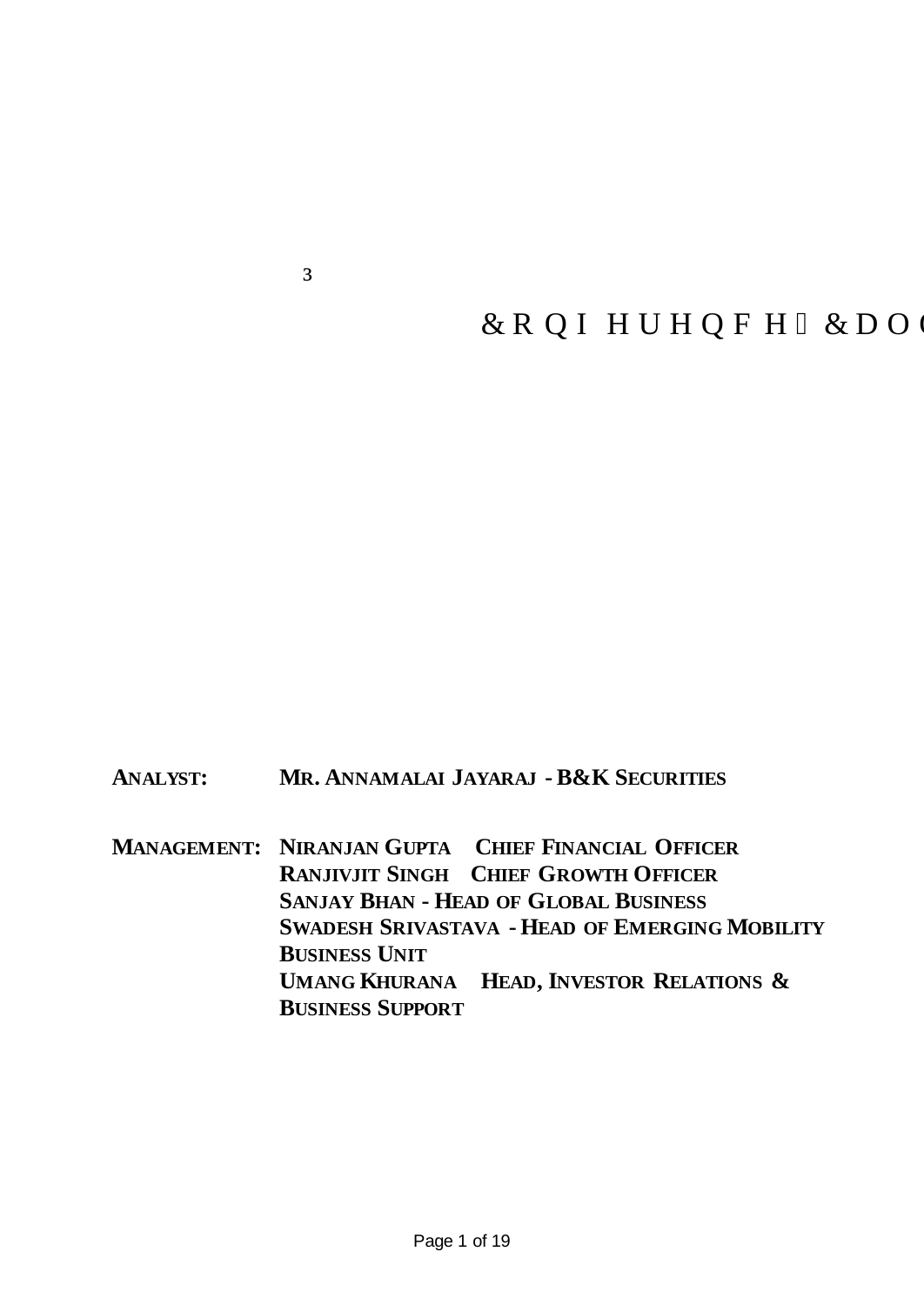## dHero MotoCorp Limited Q4 FY2022ResultsEqphgtgpeg "Ecn

May 04, 2022

## **ANALYST: MR. ANNAMALAI JAYARAJ -B&K SECURITIES**

**MANAGEMENT: NIRANJAN GUPTA** ±**CHIEF FINANCIAL OFFICER RANJIVJIT SINGH** ±**CHIEF GROWTH OFFICER SANJAY BHAN - HEAD OF GLOBAL BUSINESS SWADESH SRIVASTAVA - HEAD OF EMERGING MOBILITY BUSINESS UNIT UMANG KHURANA** ±**HEAD, INVESTOR RELATIONS & BUSINESS SUPPORT**